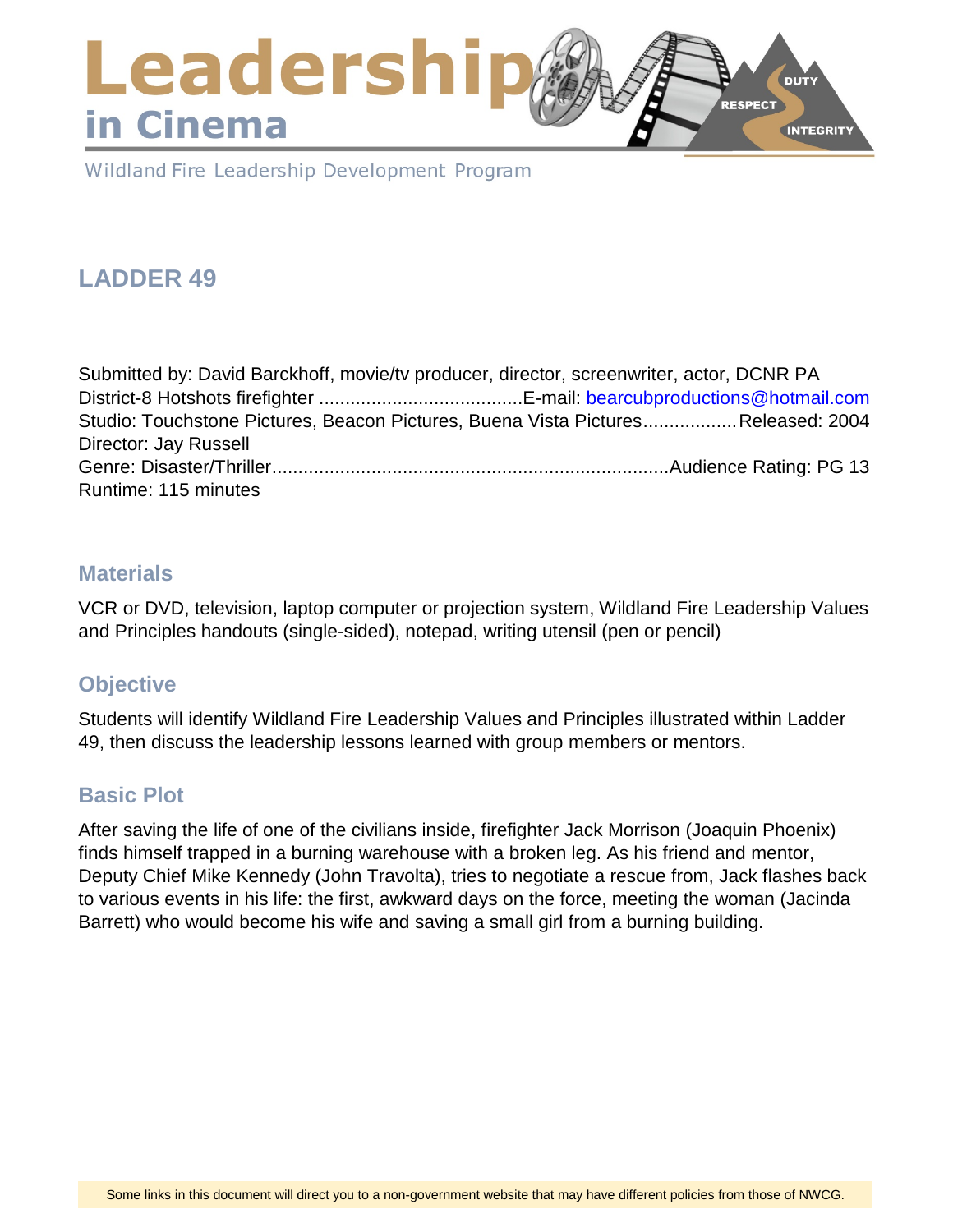### Leadershi **DUTY RESPECT** in Cinema **INTEGRITY**

Wildland Fire Leadership Development Program

# **LADDER 49**

| Submitted by: David Barckhoff, movie/tv producer, director, screenwriter, actor, DCNR PA |                                                                                  |
|------------------------------------------------------------------------------------------|----------------------------------------------------------------------------------|
|                                                                                          |                                                                                  |
|                                                                                          | Studio: Touchstone Pictures, Beacon Pictures, Buena Vista PicturesReleased: 2004 |
| Director: Jay Russell                                                                    |                                                                                  |
|                                                                                          |                                                                                  |
| Runtime: 115 minutes                                                                     |                                                                                  |

### **Materials**

VCR or DVD, television, laptop computer or projection system, Wildland Fire Leadership Values and Principles handouts (single-sided), notepad, writing utensil (pen or pencil)

## **Objective**

Students will identify Wildland Fire Leadership Values and Principles illustrated within Ladder 49, then discuss the leadership lessons learned with group members or mentors.

### **Basic Plot**

After saving the life of one of the civilians inside, firefighter Jack Morrison (Joaquin Phoenix) finds himself trapped in a burning warehouse with a broken leg. As his friend and mentor, Deputy Chief Mike Kennedy (John Travolta), tries to negotiate a rescue from, Jack flashes back to various events in his life: the first, awkward days on the force, meeting the woman (Jacinda Barrett) who would become his wife and saving a small girl from a burning building.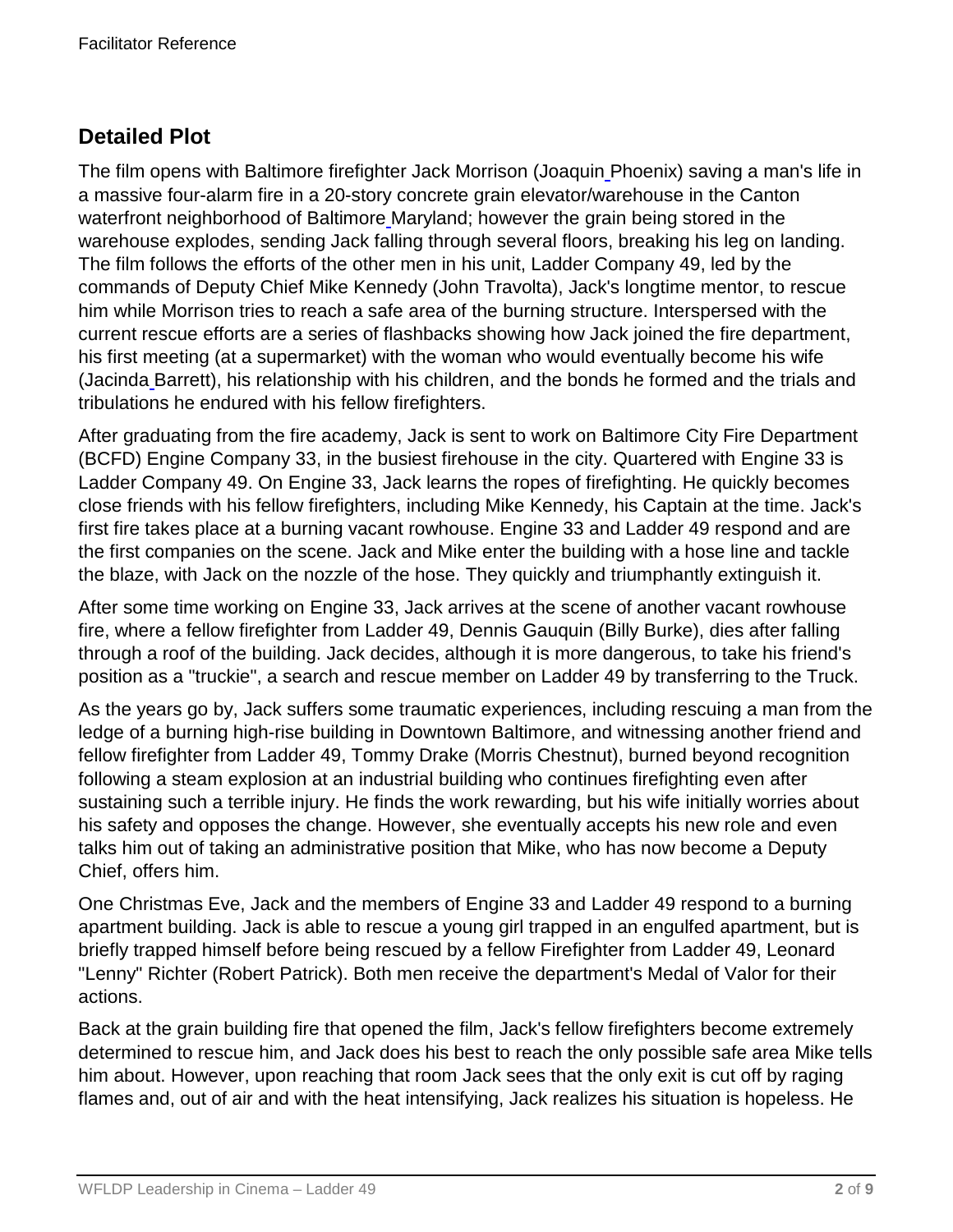## **Detailed Plot**

The film opens with Baltimore firefighter Jack Morrison (Joaqui[n](https://en.wikipedia.org/wiki/Joaquin_Phoenix) Phoenix) saving a man's life in a massive four-alarm fire in a 20-story concrete grain elevator/warehouse in the Canton waterfront neighborhood of Baltimor[e](https://en.wikipedia.org/wiki/Baltimore) Maryland; however the grain being stored in the warehouse explodes, sending Jack falling through several floors, breaking his leg on landing. The film follows the efforts of the other men in his unit, Ladder Company 49, led by the commands of Deputy Chief Mike Kennedy (John Travolta), Jack's longtime mentor, to rescue him while Morrison tries to reach a safe area of the burning structure. Interspersed with the current rescue efforts are a series of flashbacks showing how Jack joined the fire department, his first meeting (at a supermarket) with the woman who would eventually become his wife (Jacinda [B](https://en.wikipedia.org/wiki/Jacinda_Barrett)arrett), his relationship with his children, and the bonds he formed and the trials and tribulations he endured with his fellow firefighters.

After graduating from the fire academy, Jack is sent to work on Baltimore City Fire Department (BCFD) Engine Company 33, in the busiest firehouse in the city. Quartered with Engine 33 is Ladder Company 49. On Engine 33, Jack learns the ropes of firefighting. He quickly becomes close friends with his fellow firefighters, including Mike Kennedy, his Captain at the time. Jack's first fire takes place at a burning vacant rowhouse. Engine 33 and Ladder 49 respond and are the first companies on the scene. Jack and Mike enter the building with a hose line and tackle the blaze, with Jack on the nozzle of the hose. They quickly and triumphantly extinguish it.

After some time working on Engine 33, Jack arrives at the scene of another vacant rowhouse fire, where a fellow firefighter from Ladder 49, Dennis Gauquin (Billy Burke), dies after falling through a roof of the building. Jack decides, although it is more dangerous, to take his friend's position as a "truckie", a search and rescue member on Ladder 49 by transferring to the Truck.

As the years go by, Jack suffers some traumatic experiences, including rescuing a man from the ledge of a burning high-rise building in Downtown Baltimore, and witnessing another friend and fellow firefighter from Ladder 49, Tommy Drake (Morris Chestnut), burned beyond recognition following a steam explosion at an industrial building who continues firefighting even after sustaining such a terrible injury. He finds the work rewarding, but his wife initially worries about his safety and opposes the change. However, she eventually accepts his new role and even talks him out of taking an administrative position that Mike, who has now become a Deputy Chief, offers him.

One Christmas Eve, Jack and the members of Engine 33 and Ladder 49 respond to a burning apartment building. Jack is able to rescue a young girl trapped in an engulfed apartment, but is briefly trapped himself before being rescued by a fellow Firefighter from Ladder 49, Leonard "Lenny" Richter (Robert Patrick). Both men receive the department's Medal of Valor for their actions.

Back at the grain building fire that opened the film, Jack's fellow firefighters become extremely determined to rescue him, and Jack does his best to reach the only possible safe area Mike tells him about. However, upon reaching that room Jack sees that the only exit is cut off by raging flames and, out of air and with the heat intensifying, Jack realizes his situation is hopeless. He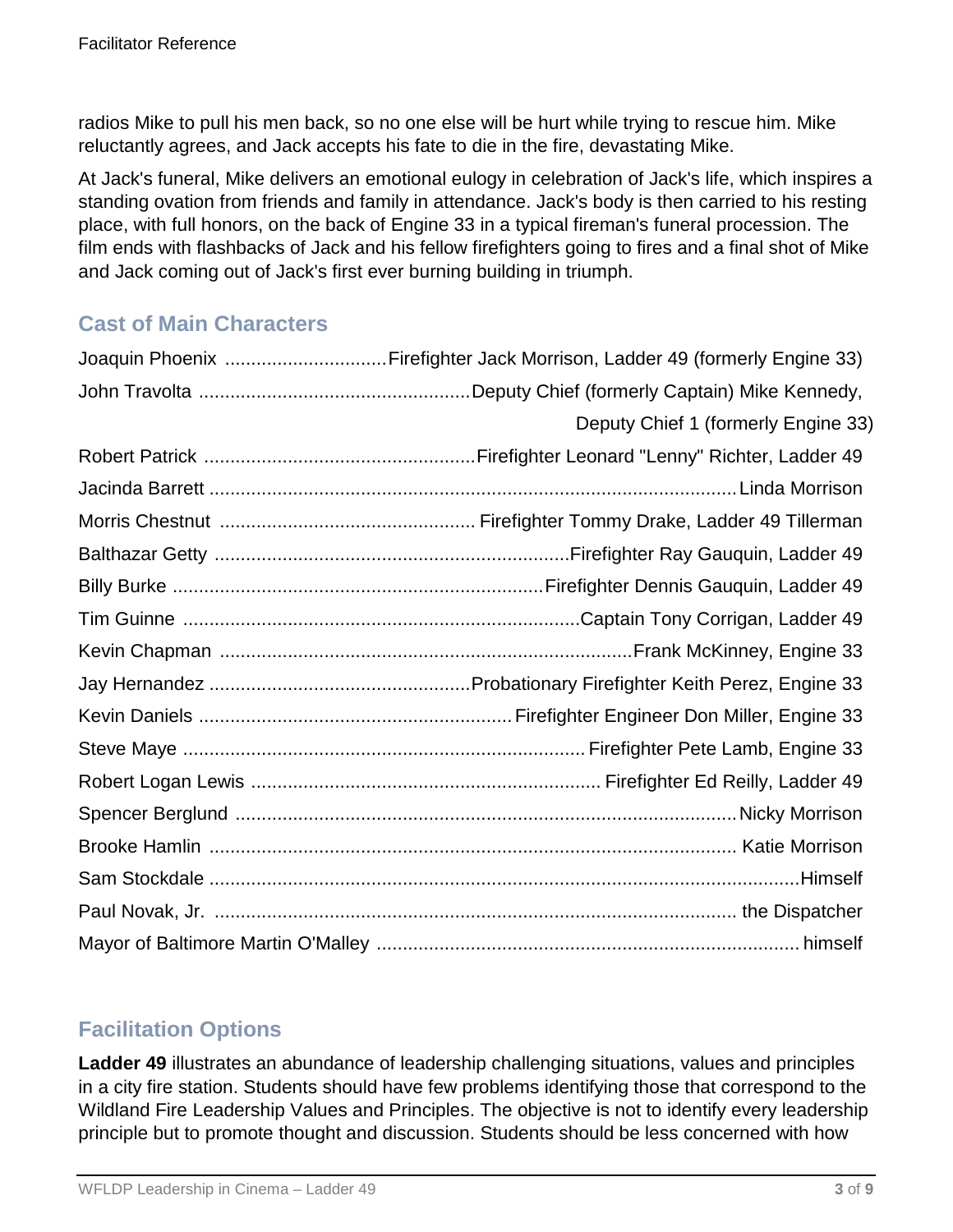radios Mike to pull his men back, so no one else will be hurt while trying to rescue him. Mike reluctantly agrees, and Jack accepts his fate to die in the fire, devastating Mike.

At Jack's funeral, Mike delivers an emotional eulogy in celebration of Jack's life, which inspires a standing ovation from friends and family in attendance. Jack's body is then carried to his resting place, with full honors, on the back of Engine 33 in a typical fireman's funeral procession. The film ends with flashbacks of Jack and his fellow firefighters going to fires and a final shot of Mike and Jack coming out of Jack's first ever burning building in triumph.

## **Cast of Main Characters**

| Joaquin Phoenix Firefighter Jack Morrison, Ladder 49 (formerly Engine 33) |
|---------------------------------------------------------------------------|
|                                                                           |
| Deputy Chief 1 (formerly Engine 33)                                       |
|                                                                           |
|                                                                           |
|                                                                           |
|                                                                           |
|                                                                           |
|                                                                           |
|                                                                           |
|                                                                           |
|                                                                           |
|                                                                           |
|                                                                           |
|                                                                           |
|                                                                           |
|                                                                           |
|                                                                           |
|                                                                           |

## **Facilitation Options**

**Ladder 49** illustrates an abundance of leadership challenging situations, values and principles in a city fire station. Students should have few problems identifying those that correspond to the Wildland Fire Leadership Values and Principles. The objective is not to identify every leadership principle but to promote thought and discussion. Students should be less concerned with how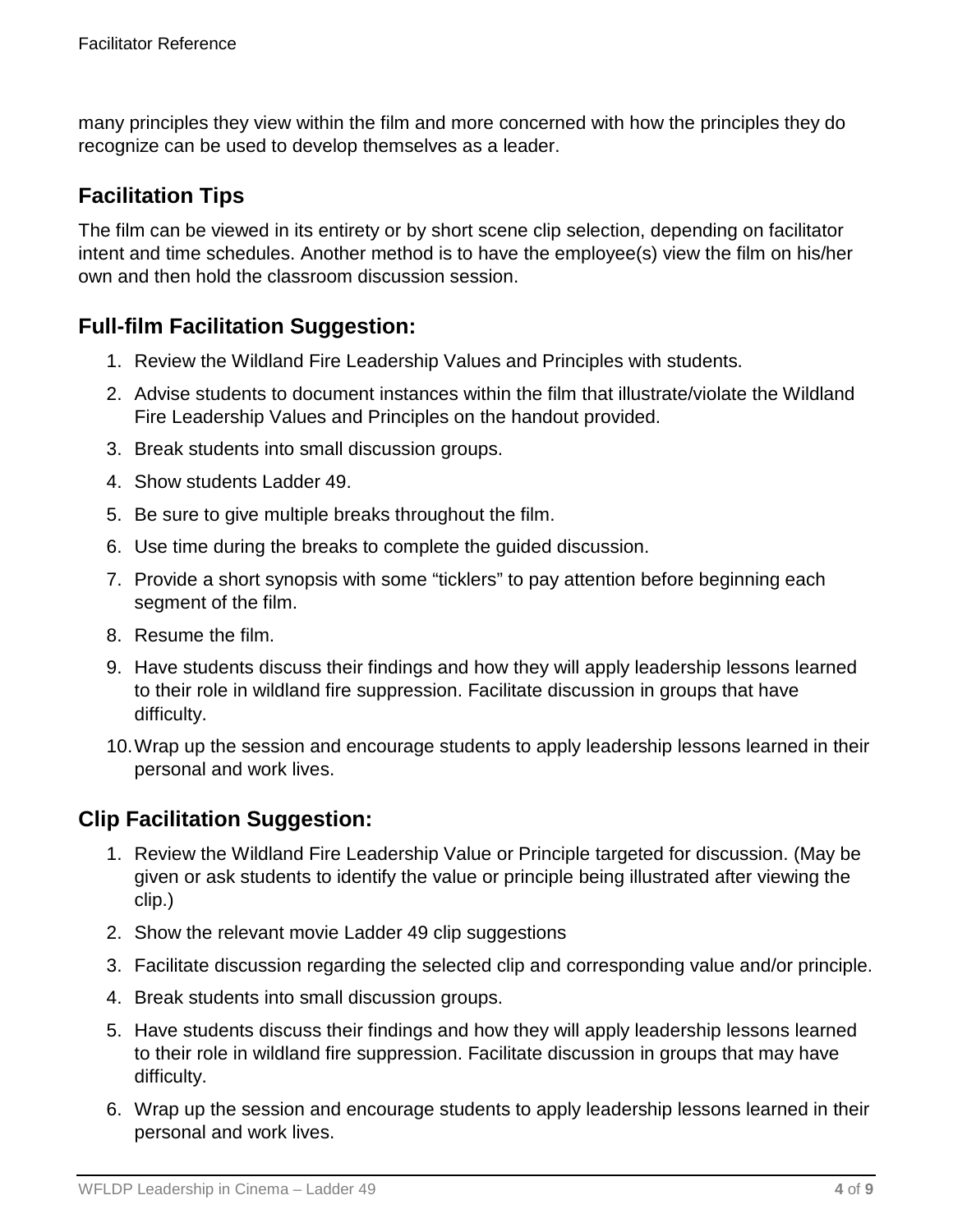many principles they view within the film and more concerned with how the principles they do recognize can be used to develop themselves as a leader.

## **Facilitation Tips**

The film can be viewed in its entirety or by short scene clip selection, depending on facilitator intent and time schedules. Another method is to have the employee(s) view the film on his/her own and then hold the classroom discussion session.

### **Full-film Facilitation Suggestion:**

- 1. Review the Wildland Fire Leadership Values and Principles with students.
- 2. Advise students to document instances within the film that illustrate/violate the Wildland Fire Leadership Values and Principles on the handout provided.
- 3. Break students into small discussion groups.
- 4. Show students Ladder 49.
- 5. Be sure to give multiple breaks throughout the film.
- 6. Use time during the breaks to complete the guided discussion.
- 7. Provide a short synopsis with some "ticklers" to pay attention before beginning each segment of the film.
- 8. Resume the film.
- 9. Have students discuss their findings and how they will apply leadership lessons learned to their role in wildland fire suppression. Facilitate discussion in groups that have difficulty.
- 10.Wrap up the session and encourage students to apply leadership lessons learned in their personal and work lives.

## **Clip Facilitation Suggestion:**

- 1. Review the Wildland Fire Leadership Value or Principle targeted for discussion. (May be given or ask students to identify the value or principle being illustrated after viewing the clip.)
- 2. Show the relevant movie Ladder 49 clip suggestions
- 3. Facilitate discussion regarding the selected clip and corresponding value and/or principle.
- 4. Break students into small discussion groups.
- 5. Have students discuss their findings and how they will apply leadership lessons learned to their role in wildland fire suppression. Facilitate discussion in groups that may have difficulty.
- 6. Wrap up the session and encourage students to apply leadership lessons learned in their personal and work lives.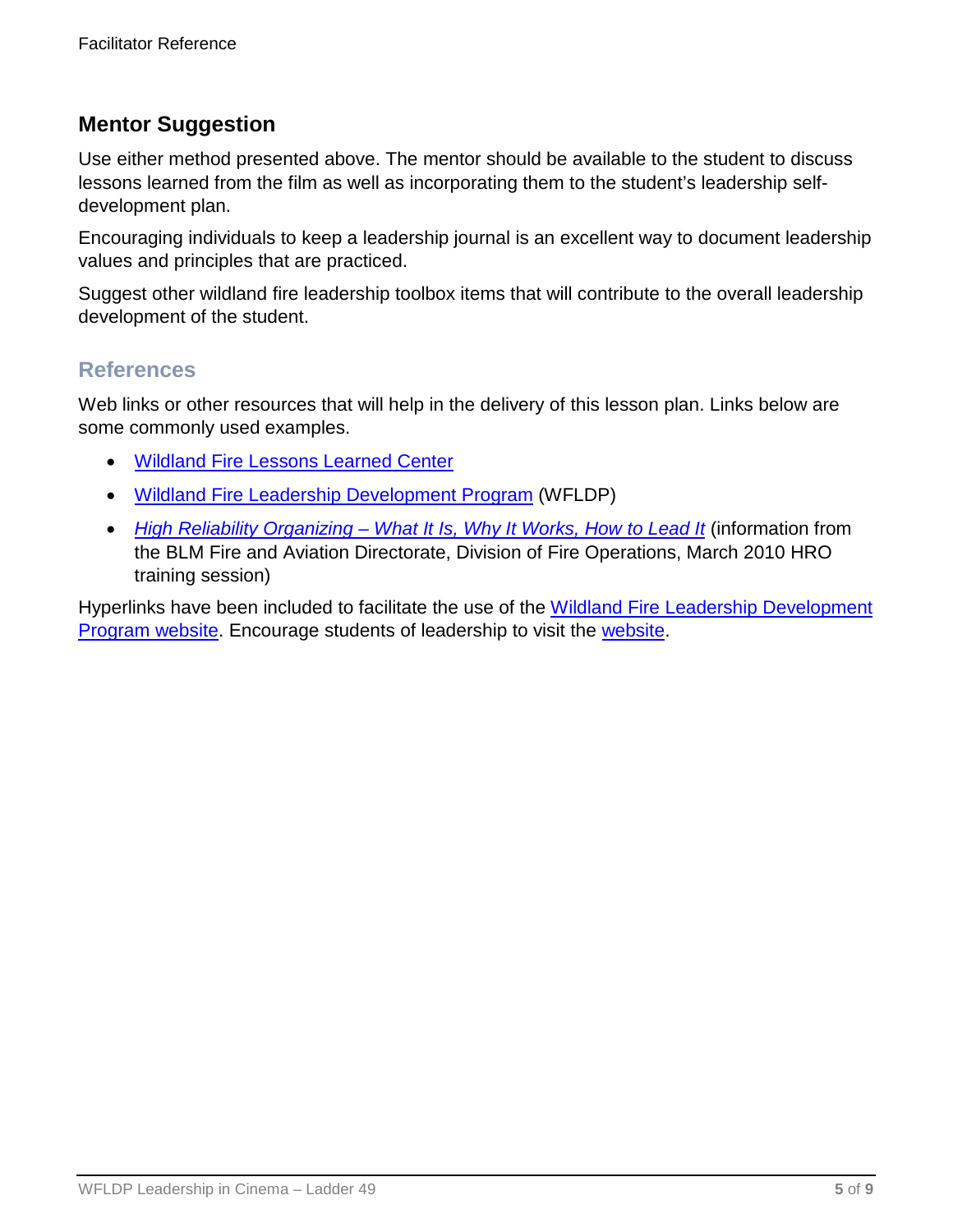### **Mentor Suggestion**

Use either method presented above. The mentor should be available to the student to discuss lessons learned from the film as well as incorporating them to the student's leadership selfdevelopment plan.

Encouraging individuals to keep a leadership journal is an excellent way to document leadership values and principles that are practiced.

Suggest other wildland fire leadership toolbox items that will contribute to the overall leadership development of the student.

### **References**

Web links or other resources that will help in the delivery of this lesson plan. Links below are some commonly used examples.

- [Wildland Fire Lessons Learned Center](https://www.wildfirelessons.net/home)
- [Wildland Fire Leadership Development Program](https://www.fireleadership.gov/) (WFLDP)
- *High Reliability Organizing – [What It Is, Why It Works, How to Lead It](https://www.nifc.gov/training/HRO/HRO_2010training.pdf)* (information from the BLM Fire and Aviation Directorate, Division of Fire Operations, March 2010 HRO training session)

Hyperlinks have been included to facilitate the use of the [Wildland Fire Leadership Development](https://www.fireleadership.gov/)  [Program website.](https://www.fireleadership.gov/) Encourage students of leadership to visit the [website.](https://www.fireleadership.gov/)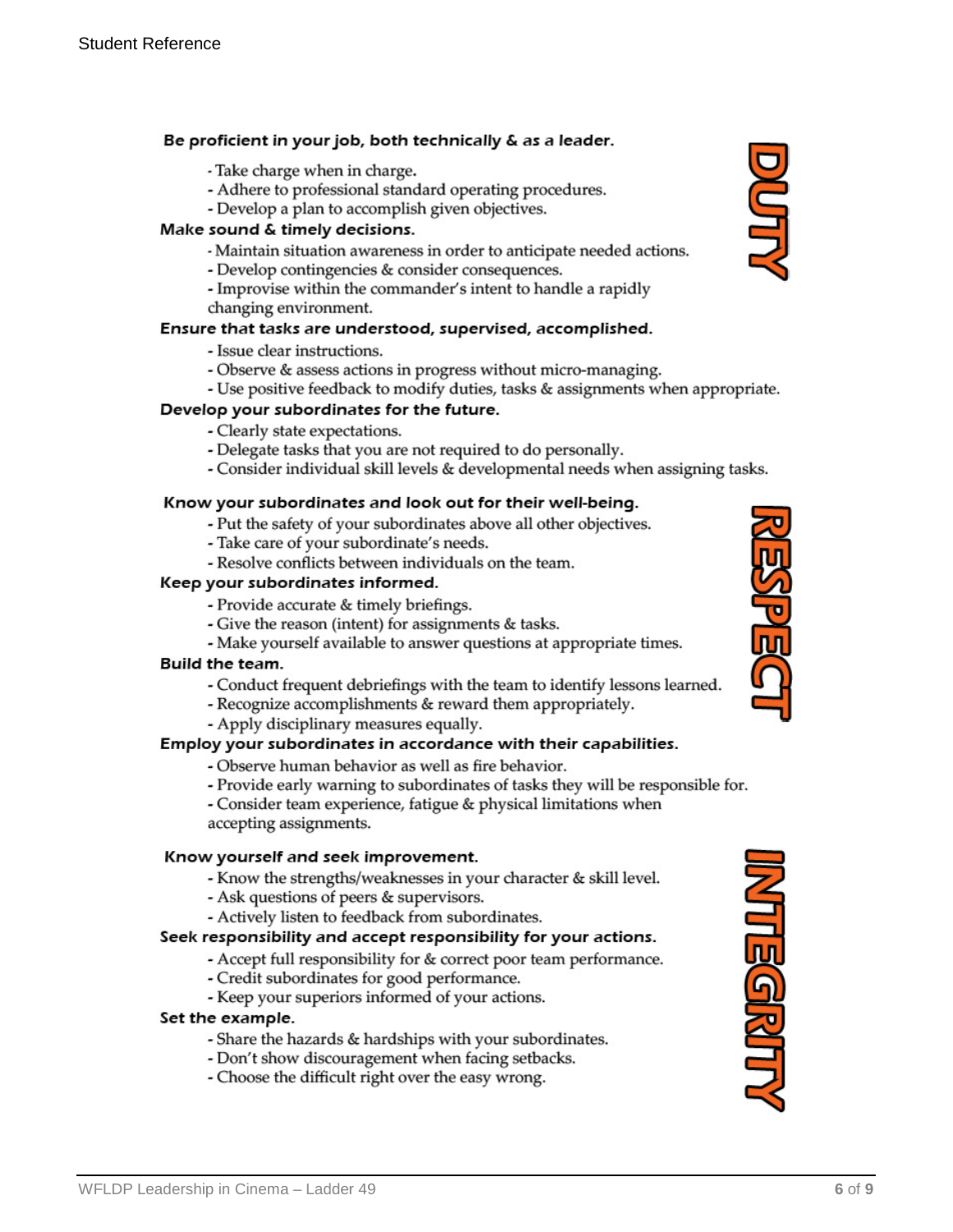#### Be proficient in your job, both technically & as a leader.

- Take charge when in charge.
- Adhere to professional standard operating procedures.
- Develop a plan to accomplish given objectives.

#### Make sound & timely decisions.

- Maintain situation awareness in order to anticipate needed actions.
- Develop contingencies & consider consequences.
- Improvise within the commander's intent to handle a rapidly changing environment.

#### Ensure that tasks are understood, supervised, accomplished.

- Issue clear instructions.
- Observe & assess actions in progress without micro-managing.
- Use positive feedback to modify duties, tasks & assignments when appropriate.

#### Develop your subordinates for the future.

- Clearly state expectations.
- Delegate tasks that you are not required to do personally.
- Consider individual skill levels & developmental needs when assigning tasks.

#### Know your subordinates and look out for their well-being.

- Put the safety of your subordinates above all other objectives.
- Take care of your subordinate's needs.
- Resolve conflicts between individuals on the team.

#### Keep your subordinates informed.

- Provide accurate & timely briefings.
- Give the reason (intent) for assignments & tasks.
- Make yourself available to answer questions at appropriate times.

#### **Build the team.**

- Conduct frequent debriefings with the team to identify lessons learned.
- Recognize accomplishments & reward them appropriately.
- Apply disciplinary measures equally.

#### Employ your subordinates in accordance with their capabilities.

- Observe human behavior as well as fire behavior.
- Provide early warning to subordinates of tasks they will be responsible for.
- Consider team experience, fatigue & physical limitations when accepting assignments.

#### Know yourself and seek improvement.

- Know the strengths/weaknesses in your character & skill level.
- Ask questions of peers & supervisors.
- Actively listen to feedback from subordinates.

#### Seek responsibility and accept responsibility for your actions.

- Accept full responsibility for & correct poor team performance.
- Credit subordinates for good performance.
- Keep your superiors informed of your actions.

#### Set the example.

- Share the hazards & hardships with your subordinates.
- Don't show discouragement when facing setbacks.
- Choose the difficult right over the easy wrong.





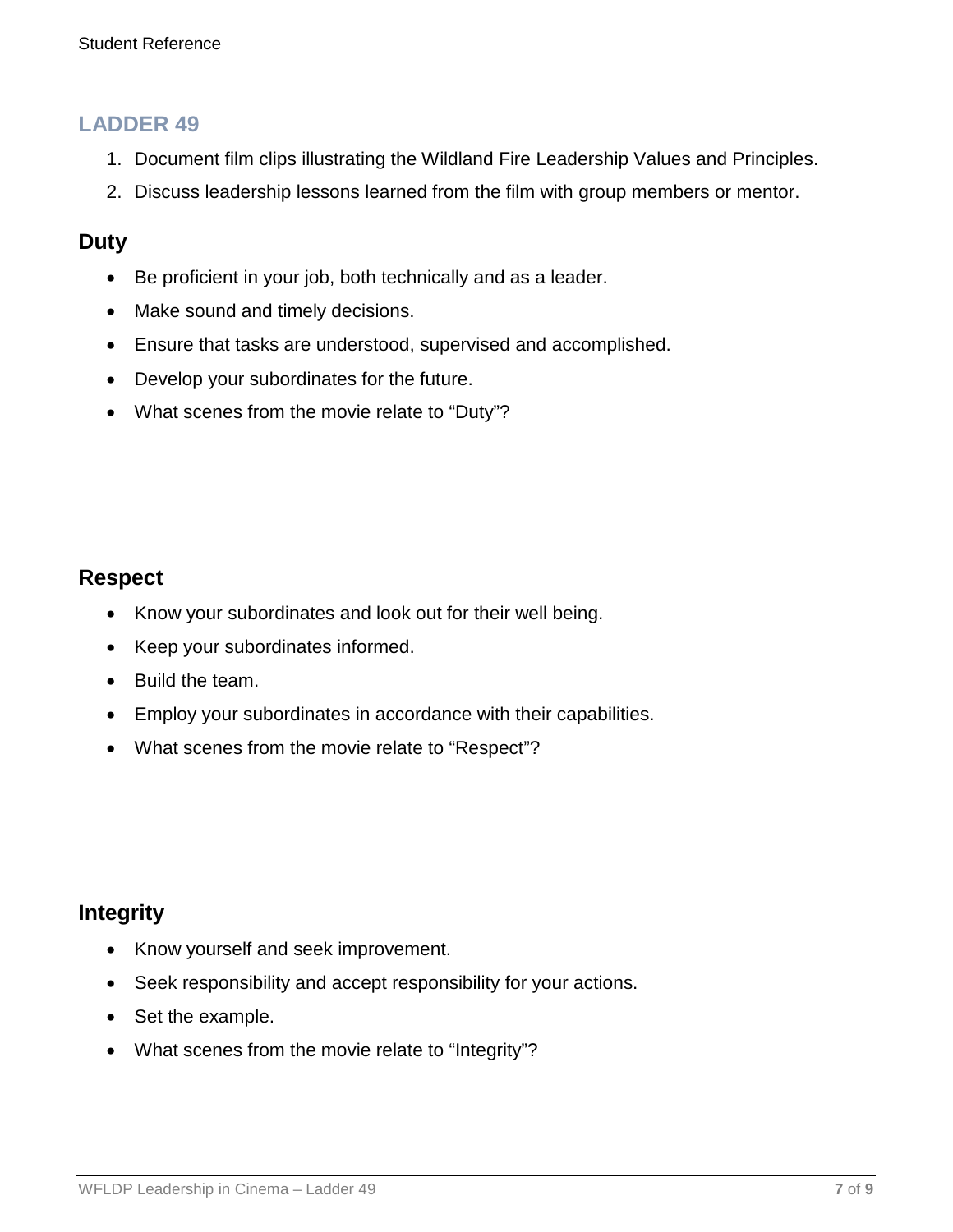### **LADDER 49**

- 1. Document film clips illustrating the Wildland Fire Leadership Values and Principles.
- 2. Discuss leadership lessons learned from the film with group members or mentor.

### **Duty**

- Be proficient in your job, both technically and as a leader.
- Make sound and timely decisions.
- Ensure that tasks are understood, supervised and accomplished.
- Develop your subordinates for the future.
- What scenes from the movie relate to "Duty"?

### **Respect**

- Know your subordinates and look out for their well being.
- Keep your subordinates informed.
- Build the team.
- Employ your subordinates in accordance with their capabilities.
- What scenes from the movie relate to "Respect"?

### **Integrity**

- Know yourself and seek improvement.
- Seek responsibility and accept responsibility for your actions.
- Set the example.
- What scenes from the movie relate to "Integrity"?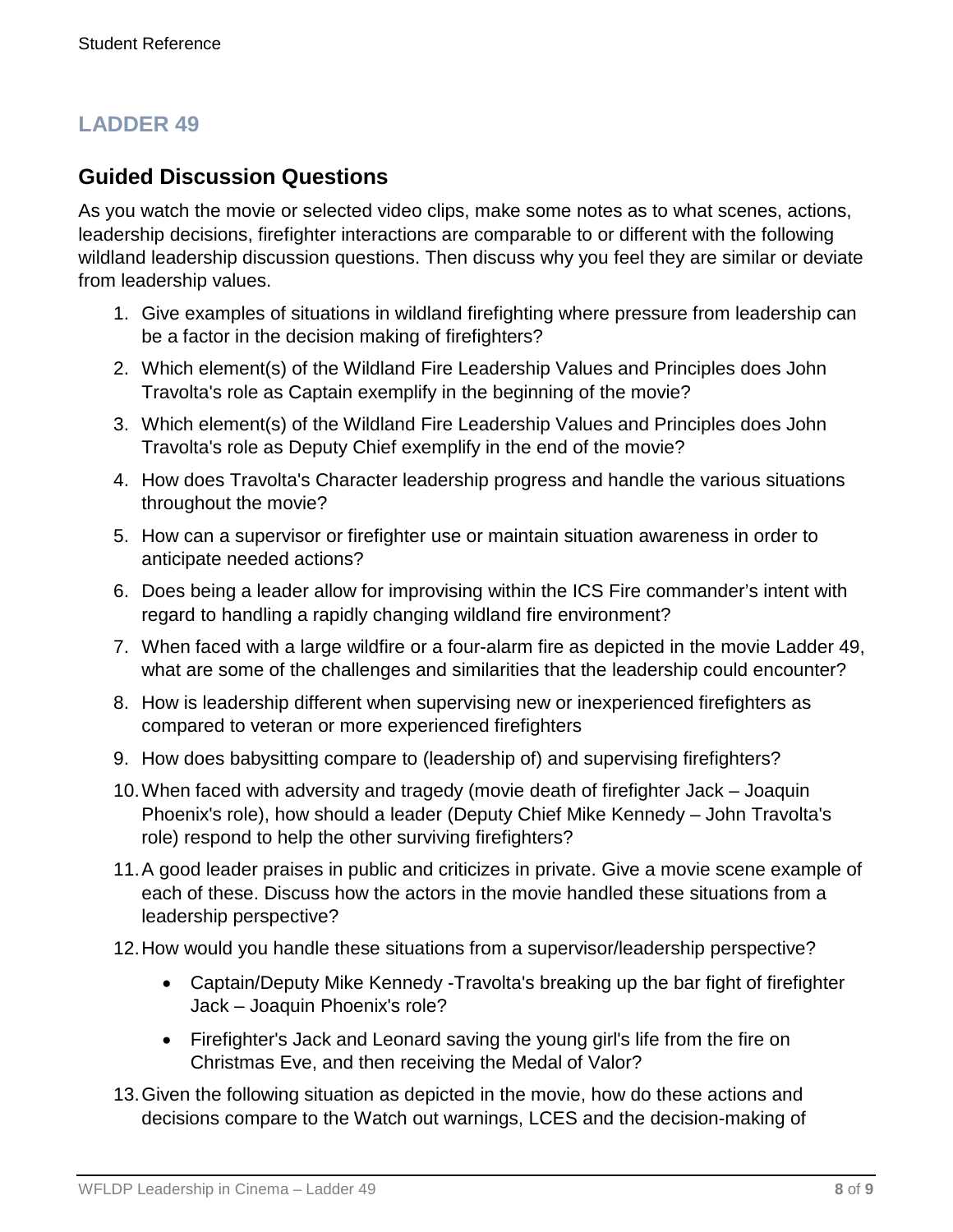# **LADDER 49**

### **Guided Discussion Questions**

As you watch the movie or selected video clips, make some notes as to what scenes, actions, leadership decisions, firefighter interactions are comparable to or different with the following wildland leadership discussion questions. Then discuss why you feel they are similar or deviate from leadership values.

- 1. Give examples of situations in wildland firefighting where pressure from leadership can be a factor in the decision making of firefighters?
- 2. Which element(s) of the Wildland Fire Leadership Values and Principles does John Travolta's role as Captain exemplify in the beginning of the movie?
- 3. Which element(s) of the Wildland Fire Leadership Values and Principles does John Travolta's role as Deputy Chief exemplify in the end of the movie?
- 4. How does Travolta's Character leadership progress and handle the various situations throughout the movie?
- 5. How can a supervisor or firefighter use or maintain situation awareness in order to anticipate needed actions?
- 6. Does being a leader allow for improvising within the ICS Fire commander's intent with regard to handling a rapidly changing wildland fire environment?
- 7. When faced with a large wildfire or a four-alarm fire as depicted in the movie Ladder 49, what are some of the challenges and similarities that the leadership could encounter?
- 8. How is leadership different when supervising new or inexperienced firefighters as compared to veteran or more experienced firefighters
- 9. How does babysitting compare to (leadership of) and supervising firefighters?
- 10.When faced with adversity and tragedy (movie death of firefighter Jack Joaquin Phoenix's role), how should a leader (Deputy Chief Mike Kennedy – John Travolta's role) respond to help the other surviving firefighters?
- 11.A good leader praises in public and criticizes in private. Give a movie scene example of each of these. Discuss how the actors in the movie handled these situations from a leadership perspective?
- 12.How would you handle these situations from a supervisor/leadership perspective?
	- Captain/Deputy Mike Kennedy -Travolta's breaking up the bar fight of firefighter Jack – Joaquin Phoenix's role?
	- Firefighter's Jack and Leonard saving the young girl's life from the fire on Christmas Eve, and then receiving the Medal of Valor?
- 13.Given the following situation as depicted in the movie, how do these actions and decisions compare to the Watch out warnings, LCES and the decision-making of